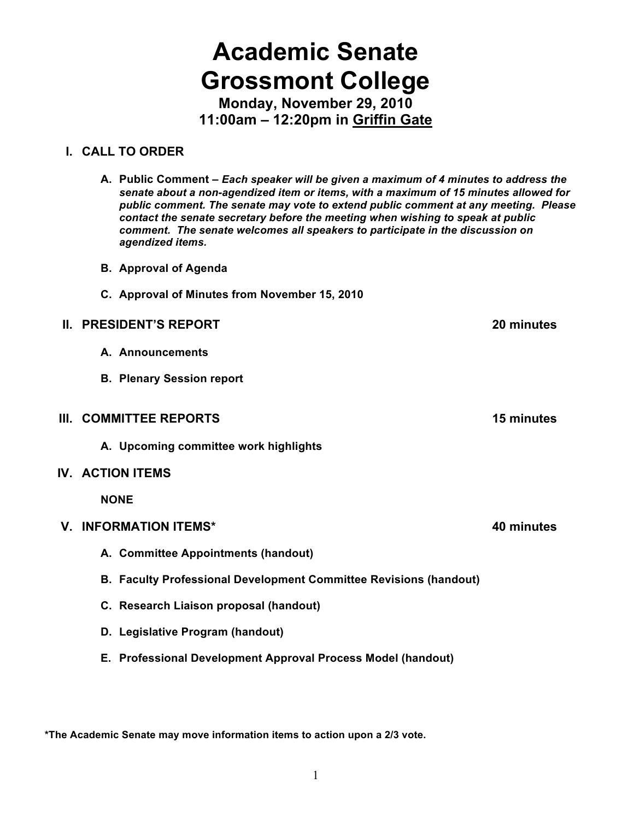# **Academic Senate Grossmont College**

**Monday, November 29, 2010 11:00am – 12:20pm in Griffin Gate**

## **I. CALL TO ORDER**

**A. Public Comment –** *Each speaker will be given a maximum of 4 minutes to address the senate about a non-agendized item or items, with a maximum of 15 minutes allowed for public comment. The senate may vote to extend public comment at any meeting. Please contact the senate secretary before the meeting when wishing to speak at public comment. The senate welcomes all speakers to participate in the discussion on agendized items.*

- **B. Approval of Agenda**
- **C. Approval of Minutes from November 15, 2010**

## **II. PRESIDENT'S REPORT 20 minutes**

- **A. Announcements**
- **B. Plenary Session report**
- **III. COMMITTEE REPORTS 15 minutes**
	- **A. Upcoming committee work highlights**

## **IV. ACTION ITEMS**

**NONE**

## **V. INFORMATION ITEMS\* 40 minutes**

- **A. Committee Appointments (handout)**
- **B. Faculty Professional Development Committee Revisions (handout)**
- **C. Research Liaison proposal (handout)**
- **D. Legislative Program (handout)**
- **E. Professional Development Approval Process Model (handout)**

**\*The Academic Senate may move information items to action upon a 2/3 vote.**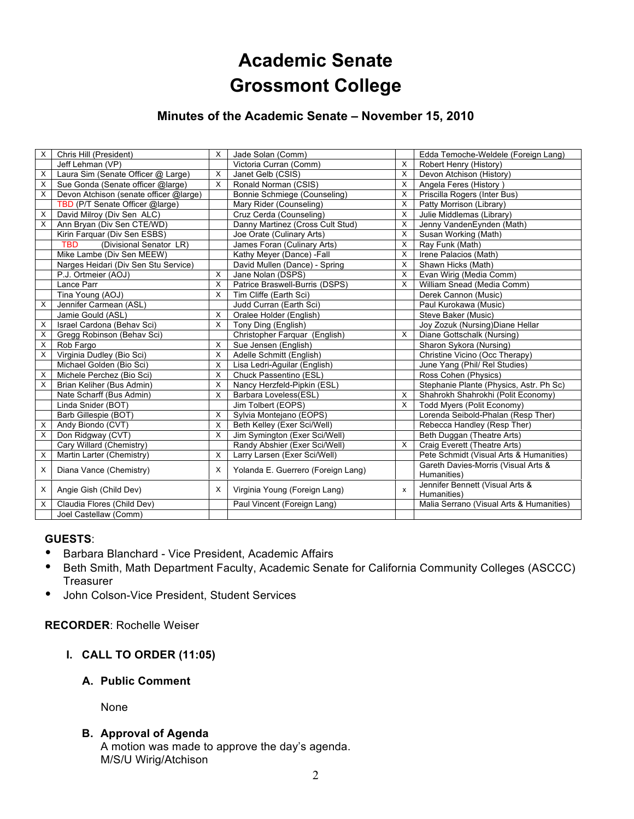## **Academic Senate Grossmont College**

## **Minutes of the Academic Senate – November 15, 2010**

| X        | Chris Hill (President)                 | $\times$ | Jade Solan (Comm)                  |          | Edda Temoche-Weldele (Foreign Lang)                |
|----------|----------------------------------------|----------|------------------------------------|----------|----------------------------------------------------|
|          | Jeff Lehman (VP)                       |          | Victoria Curran (Comm)             | X        | Robert Henry (History)                             |
| X        | Laura Sim (Senate Officer @ Large)     | X        | Janet Gelb (CSIS)                  | X        | Devon Atchison (History)                           |
| $\times$ | Sue Gonda (Senate officer @large)      | $\times$ | Ronald Norman (CSIS)               | X        | Angela Feres (History)                             |
| X        | Devon Atchison (senate officer @large) |          | Bonnie Schmiege (Counseling)       | X        | Priscilla Rogers (Inter Bus)                       |
|          | TBD (P/T Senate Officer @large)        |          | Mary Rider (Counseling)            | X        | Patty Morrison (Library)                           |
| X        | David Milroy (Div Sen ALC)             |          | Cruz Cerda (Counseling)            | X        | Julie Middlemas (Library)                          |
| X        | Ann Bryan (Div Sen CTE/WD)             |          | Danny Martinez (Cross Cult Stud)   | $\times$ | Jenny VandenEynden (Math)                          |
|          | Kirin Farquar (Div Sen ESBS)           |          | Joe Orate (Culinary Arts)          | X        | Susan Working (Math)                               |
|          | <b>TBD</b><br>(Divisional Senator LR)  |          | James Foran (Culinary Arts)        | X        | Ray Funk (Math)                                    |
|          | Mike Lambe (Div Sen MEEW)              |          | Kathy Meyer (Dance) -Fall          | X        | Irene Palacios (Math)                              |
|          | Narges Heidari (Div Sen Stu Service)   |          | David Mullen (Dance) - Spring      | $\times$ | Shawn Hicks (Math)                                 |
|          | P.J. Ortmeier (AOJ)                    | X        | Jane Nolan (DSPS)                  | X        | Evan Wirig (Media Comm)                            |
|          | Lance Parr                             | $\times$ | Patrice Braswell-Burris (DSPS)     | $\times$ | William Snead (Media Comm)                         |
|          | Tina Young (AOJ)                       | X        | Tim Cliffe (Earth Sci)             |          | Derek Cannon (Music)                               |
| $\times$ | Jennifer Carmean (ASL)                 |          | Judd Curran (Earth Sci)            |          | Paul Kurokawa (Music)                              |
|          | Jamie Gould (ASL)                      | X        | Oralee Holder (English)            |          | Steve Baker (Music)                                |
| X        | Israel Cardona (Behav Sci)             | $\times$ | Tony Ding (English)                |          | Joy Zozuk (Nursing) Diane Hellar                   |
| X        | Gregg Robinson (Behav Sci)             |          | Christopher Farquar (English)      | X        | Diane Gottschalk (Nursing)                         |
| X        | Rob Fargo                              | X        | Sue Jensen (English)               |          | Sharon Sykora (Nursing)                            |
| X        | Virginia Dudley (Bio Sci)              | X        | Adelle Schmitt (English)           |          | Christine Vicino (Occ Therapy)                     |
|          | Michael Golden (Bio Sci)               | X        | Lisa Ledri-Aguilar (English)       |          | June Yang (Phil/ Rel Studies)                      |
| X        | Michele Perchez (Bio Sci)              | X        | Chuck Passentino (ESL)             |          | Ross Cohen (Physics)                               |
| X        | Brian Keliher (Bus Admin)              | X        | Nancy Herzfeld-Pipkin (ESL)        |          | Stephanie Plante (Physics, Astr. Ph Sc)            |
|          | Nate Scharff (Bus Admin)               | X        | Barbara Loveless(ESL)              | $\times$ | Shahrokh Shahrokhi (Polit Economy)                 |
|          | Linda Snider (BOT)                     |          | Jim Tolbert (EOPS)                 | X        | Todd Myers (Polit Economy)                         |
|          | Barb Gillespie (BOT)                   | X        | Sylvia Montejano (EOPS)            |          | Lorenda Seibold-Phalan (Resp Ther)                 |
| X        | Andy Biondo (CVT)                      | X        | Beth Kelley (Exer Sci/Well)        |          | Rebecca Handley (Resp Ther)                        |
| X        | Don Ridgway (CVT)                      | X        | Jim Symington (Exer Sci/Well)      |          | Beth Duggan (Theatre Arts)                         |
|          | Cary Willard (Chemistry)               |          | Randy Abshier (Exer Sci/Well)      | $\times$ | Craig Everett (Theatre Arts)                       |
| X        | Martin Larter (Chemistry)              | $\times$ | Larry Larsen (Exer Sci/Well)       |          | Pete Schmidt (Visual Arts & Humanities)            |
| $\times$ | Diana Vance (Chemistry)                | X        | Yolanda E. Guerrero (Foreign Lang) |          | Gareth Davies-Morris (Visual Arts &<br>Humanities) |
| $\times$ | Angie Gish (Child Dev)                 | X        | Virginia Young (Foreign Lang)      | X        | Jennifer Bennett (Visual Arts &                    |
|          |                                        |          |                                    |          | Humanities)                                        |
| X        | Claudia Flores (Child Dev)             |          | Paul Vincent (Foreign Lang)        |          | Malia Serrano (Visual Arts & Humanities)           |
|          | Joel Castellaw (Comm)                  |          |                                    |          |                                                    |

## **GUESTS**:

- Barbara Blanchard Vice President, Academic Affairs
- Beth Smith, Math Department Faculty, Academic Senate for California Community Colleges (ASCCC) **Treasurer**
- John Colson-Vice President, Student Services

## **RECORDER**: Rochelle Weiser

**I. CALL TO ORDER (11:05)**

## **A. Public Comment**

None

## **B. Approval of Agenda**

A motion was made to approve the day's agenda. M/S/U Wirig/Atchison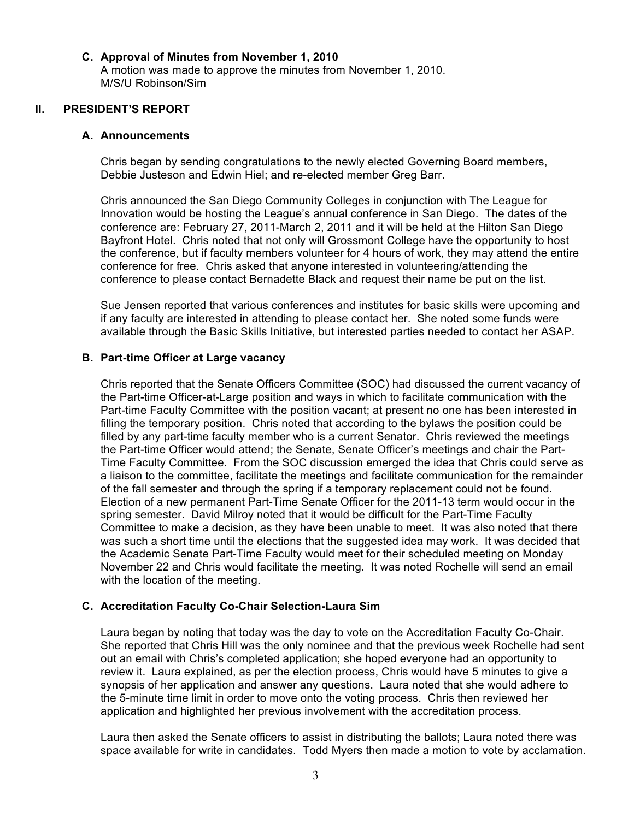#### **C. Approval of Minutes from November 1, 2010**

A motion was made to approve the minutes from November 1, 2010. M/S/U Robinson/Sim

## **II. PRESIDENT'S REPORT**

#### **A. Announcements**

Chris began by sending congratulations to the newly elected Governing Board members, Debbie Justeson and Edwin Hiel; and re-elected member Greg Barr.

Chris announced the San Diego Community Colleges in conjunction with The League for Innovation would be hosting the League's annual conference in San Diego. The dates of the conference are: February 27, 2011-March 2, 2011 and it will be held at the Hilton San Diego Bayfront Hotel. Chris noted that not only will Grossmont College have the opportunity to host the conference, but if faculty members volunteer for 4 hours of work, they may attend the entire conference for free. Chris asked that anyone interested in volunteering/attending the conference to please contact Bernadette Black and request their name be put on the list.

Sue Jensen reported that various conferences and institutes for basic skills were upcoming and if any faculty are interested in attending to please contact her. She noted some funds were available through the Basic Skills Initiative, but interested parties needed to contact her ASAP.

#### **B. Part-time Officer at Large vacancy**

Chris reported that the Senate Officers Committee (SOC) had discussed the current vacancy of the Part-time Officer-at-Large position and ways in which to facilitate communication with the Part-time Faculty Committee with the position vacant; at present no one has been interested in filling the temporary position. Chris noted that according to the bylaws the position could be filled by any part-time faculty member who is a current Senator. Chris reviewed the meetings the Part-time Officer would attend; the Senate, Senate Officer's meetings and chair the Part-Time Faculty Committee. From the SOC discussion emerged the idea that Chris could serve as a liaison to the committee, facilitate the meetings and facilitate communication for the remainder of the fall semester and through the spring if a temporary replacement could not be found. Election of a new permanent Part-Time Senate Officer for the 2011-13 term would occur in the spring semester. David Milroy noted that it would be difficult for the Part-Time Faculty Committee to make a decision, as they have been unable to meet. It was also noted that there was such a short time until the elections that the suggested idea may work. It was decided that the Academic Senate Part-Time Faculty would meet for their scheduled meeting on Monday November 22 and Chris would facilitate the meeting. It was noted Rochelle will send an email with the location of the meeting.

## **C. Accreditation Faculty Co-Chair Selection-Laura Sim**

Laura began by noting that today was the day to vote on the Accreditation Faculty Co-Chair. She reported that Chris Hill was the only nominee and that the previous week Rochelle had sent out an email with Chris's completed application; she hoped everyone had an opportunity to review it. Laura explained, as per the election process, Chris would have 5 minutes to give a synopsis of her application and answer any questions. Laura noted that she would adhere to the 5-minute time limit in order to move onto the voting process. Chris then reviewed her application and highlighted her previous involvement with the accreditation process.

Laura then asked the Senate officers to assist in distributing the ballots; Laura noted there was space available for write in candidates. Todd Myers then made a motion to vote by acclamation.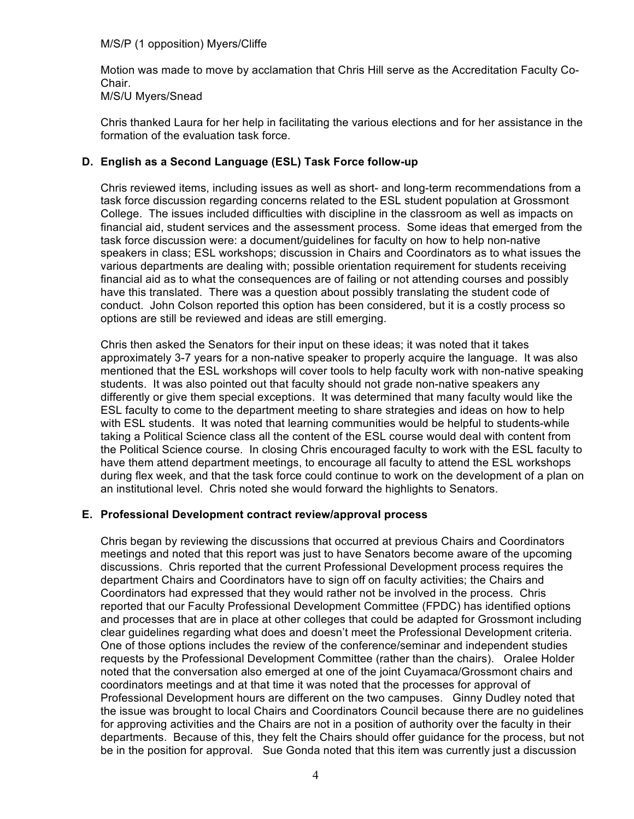Motion was made to move by acclamation that Chris Hill serve as the Accreditation Faculty Co-Chair. M/S/U Myers/Snead

Chris thanked Laura for her help in facilitating the various elections and for her assistance in the formation of the evaluation task force.

## **D. English as a Second Language (ESL) Task Force follow-up**

Chris reviewed items, including issues as well as short- and long-term recommendations from a task force discussion regarding concerns related to the ESL student population at Grossmont College. The issues included difficulties with discipline in the classroom as well as impacts on financial aid, student services and the assessment process. Some ideas that emerged from the task force discussion were: a document/guidelines for faculty on how to help non-native speakers in class; ESL workshops; discussion in Chairs and Coordinators as to what issues the various departments are dealing with; possible orientation requirement for students receiving financial aid as to what the consequences are of failing or not attending courses and possibly have this translated. There was a question about possibly translating the student code of conduct. John Colson reported this option has been considered, but it is a costly process so options are still be reviewed and ideas are still emerging.

Chris then asked the Senators for their input on these ideas; it was noted that it takes approximately 3-7 years for a non-native speaker to properly acquire the language. It was also mentioned that the ESL workshops will cover tools to help faculty work with non-native speaking students. It was also pointed out that faculty should not grade non-native speakers any differently or give them special exceptions. It was determined that many faculty would like the ESL faculty to come to the department meeting to share strategies and ideas on how to help with ESL students. It was noted that learning communities would be helpful to students-while taking a Political Science class all the content of the ESL course would deal with content from the Political Science course. In closing Chris encouraged faculty to work with the ESL faculty to have them attend department meetings, to encourage all faculty to attend the ESL workshops during flex week, and that the task force could continue to work on the development of a plan on an institutional level. Chris noted she would forward the highlights to Senators.

## **E. Professional Development contract review/approval process**

Chris began by reviewing the discussions that occurred at previous Chairs and Coordinators meetings and noted that this report was just to have Senators become aware of the upcoming discussions. Chris reported that the current Professional Development process requires the department Chairs and Coordinators have to sign off on faculty activities; the Chairs and Coordinators had expressed that they would rather not be involved in the process. Chris reported that our Faculty Professional Development Committee (FPDC) has identified options and processes that are in place at other colleges that could be adapted for Grossmont including clear guidelines regarding what does and doesn't meet the Professional Development criteria. One of those options includes the review of the conference/seminar and independent studies requests by the Professional Development Committee (rather than the chairs). Oralee Holder noted that the conversation also emerged at one of the joint Cuyamaca/Grossmont chairs and coordinators meetings and at that time it was noted that the processes for approval of Professional Development hours are different on the two campuses. Ginny Dudley noted that the issue was brought to local Chairs and Coordinators Council because there are no guidelines for approving activities and the Chairs are not in a position of authority over the faculty in their departments. Because of this, they felt the Chairs should offer guidance for the process, but not be in the position for approval. Sue Gonda noted that this item was currently just a discussion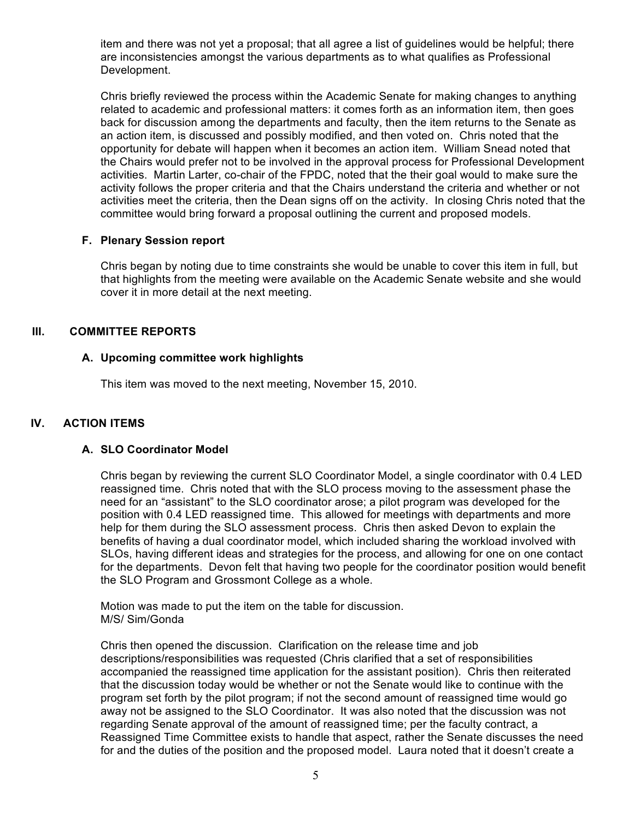item and there was not yet a proposal; that all agree a list of guidelines would be helpful; there are inconsistencies amongst the various departments as to what qualifies as Professional Development.

Chris briefly reviewed the process within the Academic Senate for making changes to anything related to academic and professional matters: it comes forth as an information item, then goes back for discussion among the departments and faculty, then the item returns to the Senate as an action item, is discussed and possibly modified, and then voted on. Chris noted that the opportunity for debate will happen when it becomes an action item. William Snead noted that the Chairs would prefer not to be involved in the approval process for Professional Development activities. Martin Larter, co-chair of the FPDC, noted that the their goal would to make sure the activity follows the proper criteria and that the Chairs understand the criteria and whether or not activities meet the criteria, then the Dean signs off on the activity. In closing Chris noted that the committee would bring forward a proposal outlining the current and proposed models.

## **F. Plenary Session report**

Chris began by noting due to time constraints she would be unable to cover this item in full, but that highlights from the meeting were available on the Academic Senate website and she would cover it in more detail at the next meeting.

## **III. COMMITTEE REPORTS**

## **A. Upcoming committee work highlights**

This item was moved to the next meeting, November 15, 2010.

## **IV. ACTION ITEMS**

#### **A. SLO Coordinator Model**

Chris began by reviewing the current SLO Coordinator Model, a single coordinator with 0.4 LED reassigned time. Chris noted that with the SLO process moving to the assessment phase the need for an "assistant" to the SLO coordinator arose; a pilot program was developed for the position with 0.4 LED reassigned time. This allowed for meetings with departments and more help for them during the SLO assessment process. Chris then asked Devon to explain the benefits of having a dual coordinator model, which included sharing the workload involved with SLOs, having different ideas and strategies for the process, and allowing for one on one contact for the departments. Devon felt that having two people for the coordinator position would benefit the SLO Program and Grossmont College as a whole.

Motion was made to put the item on the table for discussion. M/S/ Sim/Gonda

Chris then opened the discussion. Clarification on the release time and job descriptions/responsibilities was requested (Chris clarified that a set of responsibilities accompanied the reassigned time application for the assistant position). Chris then reiterated that the discussion today would be whether or not the Senate would like to continue with the program set forth by the pilot program; if not the second amount of reassigned time would go away not be assigned to the SLO Coordinator. It was also noted that the discussion was not regarding Senate approval of the amount of reassigned time; per the faculty contract, a Reassigned Time Committee exists to handle that aspect, rather the Senate discusses the need for and the duties of the position and the proposed model. Laura noted that it doesn't create a